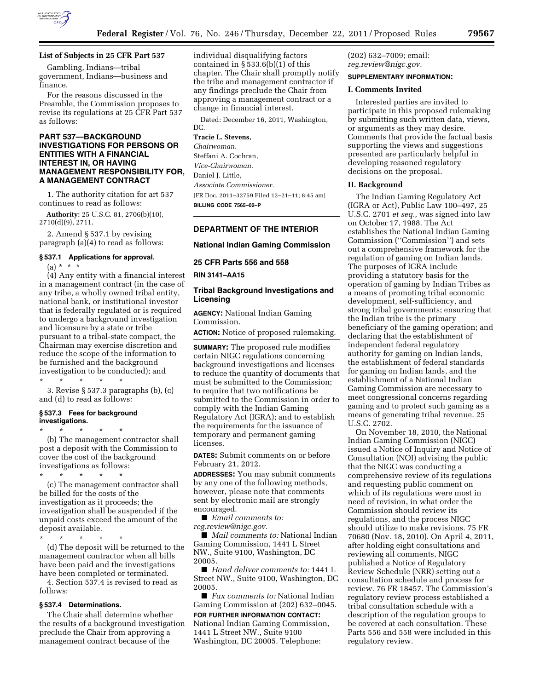

Gambling, Indians—tribal government, Indians—business and finance.

For the reasons discussed in the Preamble, the Commission proposes to revise its regulations at 25 CFR Part 537 as follows:

# **PART 537—BACKGROUND INVESTIGATIONS FOR PERSONS OR ENTITIES WITH A FINANCIAL INTEREST IN, OR HAVING MANAGEMENT RESPONSIBILITY FOR, A MANAGEMENT CONTRACT**

1. The authority citation for art 537 continues to read as follows:

**Authority:** 25 U.S.C. 81, 2706(b)(10), 2710(d)(9), 2711.

2. Amend § 537.1 by revising paragraph (a)(4) to read as follows:

# **§ 537.1 Applications for approval.**

 $(a) * * * *$ 

(4) Any entity with a financial interest in a management contract (in the case of any tribe, a wholly owned tribal entity, national bank, or institutional investor that is federally regulated or is required to undergo a background investigation and licensure by a state or tribe pursuant to a tribal-state compact, the Chairman may exercise discretion and reduce the scope of the information to be furnished and the background investigation to be conducted); and

\* \* \* \* \*

3. Revise § 537.3 paragraphs (b), (c) and (d) to read as follows:

## **§ 537.3 Fees for background investigations.**

\* \* \* \* \* (b) The management contractor shall post a deposit with the Commission to cover the cost of the background investigations as follows:

\* \* \* \* \* (c) The management contractor shall be billed for the costs of the investigation as it proceeds; the investigation shall be suspended if the unpaid costs exceed the amount of the deposit available.

\* \* \* \* \*

(d) The deposit will be returned to the management contractor when all bills have been paid and the investigations have been completed or terminated.

4. Section 537.4 is revised to read as follows:

# **§ 537.4 Determinations.**

The Chair shall determine whether the results of a background investigation preclude the Chair from approving a management contract because of the

individual disqualifying factors contained in  $\S 533.6(b)(1)$  of this chapter. The Chair shall promptly notify the tribe and management contractor if any findings preclude the Chair from approving a management contract or a change in financial interest.

Dated: December 16, 2011, Washington, DC.

# **Tracie L. Stevens,**

*Chairwoman.*  Steffani A. Cochran, *Vice-Chairwoman.*  Daniel I. Little, *Associate Commissioner.*  [FR Doc. 2011–32759 Filed 12–21–11; 8:45 am] **BILLING CODE 7565–02–P** 

# **DEPARTMENT OF THE INTERIOR**

# **National Indian Gaming Commission**

**25 CFR Parts 556 and 558** 

**RIN 3141–AA15** 

# **Tribal Background Investigations and Licensing**

**AGENCY:** National Indian Gaming Commission.

**ACTION:** Notice of proposed rulemaking.

**SUMMARY:** The proposed rule modifies certain NIGC regulations concerning background investigations and licenses to reduce the quantity of documents that must be submitted to the Commission; to require that two notifications be submitted to the Commission in order to comply with the Indian Gaming Regulatory Act (IGRA); and to establish the requirements for the issuance of temporary and permanent gaming licenses.

**DATES:** Submit comments on or before February 21, 2012.

**ADDRESSES:** You may submit comments by any one of the following methods, however, please note that comments sent by electronic mail are strongly encouraged.

■ *Email comments to:* 

*[reg.review@nigc.gov.](mailto:reg.review@nigc.gov)* 

■ *Mail comments to:* National Indian Gaming Commission, 1441 L Street NW., Suite 9100, Washington, DC 20005.

■ *Hand deliver comments to:* 1441 L Street NW., Suite 9100, Washington, DC 20005.

■ *Fax comments to:* National Indian Gaming Commission at (202) 632–0045.

## **FOR FURTHER INFORMATION CONTACT:**

National Indian Gaming Commission, 1441 L Street NW., Suite 9100 Washington, DC 20005. Telephone:

(202) 632–7009; email: *[reg.review@nigc.gov.](mailto:reg.review@nigc.gov)* 

# **SUPPLEMENTARY INFORMATION:**

## **I. Comments Invited**

Interested parties are invited to participate in this proposed rulemaking by submitting such written data, views, or arguments as they may desire. Comments that provide the factual basis supporting the views and suggestions presented are particularly helpful in developing reasoned regulatory decisions on the proposal.

# **II. Background**

The Indian Gaming Regulatory Act (IGRA or Act), Public Law 100–497, 25 U.S.C. 2701 *et seq.,* was signed into law on October 17, 1988. The Act establishes the National Indian Gaming Commission (''Commission'') and sets out a comprehensive framework for the regulation of gaming on Indian lands. The purposes of IGRA include providing a statutory basis for the operation of gaming by Indian Tribes as a means of promoting tribal economic development, self-sufficiency, and strong tribal governments; ensuring that the Indian tribe is the primary beneficiary of the gaming operation; and declaring that the establishment of independent federal regulatory authority for gaming on Indian lands, the establishment of federal standards for gaming on Indian lands, and the establishment of a National Indian Gaming Commission are necessary to meet congressional concerns regarding gaming and to protect such gaming as a means of generating tribal revenue. 25 U.S.C. 2702.

On November 18, 2010, the National Indian Gaming Commission (NIGC) issued a Notice of Inquiry and Notice of Consultation (NOI) advising the public that the NIGC was conducting a comprehensive review of its regulations and requesting public comment on which of its regulations were most in need of revision, in what order the Commission should review its regulations, and the process NIGC should utilize to make revisions. 75 FR 70680 (Nov. 18, 2010). On April 4, 2011, after holding eight consultations and reviewing all comments, NIGC published a Notice of Regulatory Review Schedule (NRR) setting out a consultation schedule and process for review. 76 FR 18457. The Commission's regulatory review process established a tribal consultation schedule with a description of the regulation groups to be covered at each consultation. These Parts 556 and 558 were included in this regulatory review.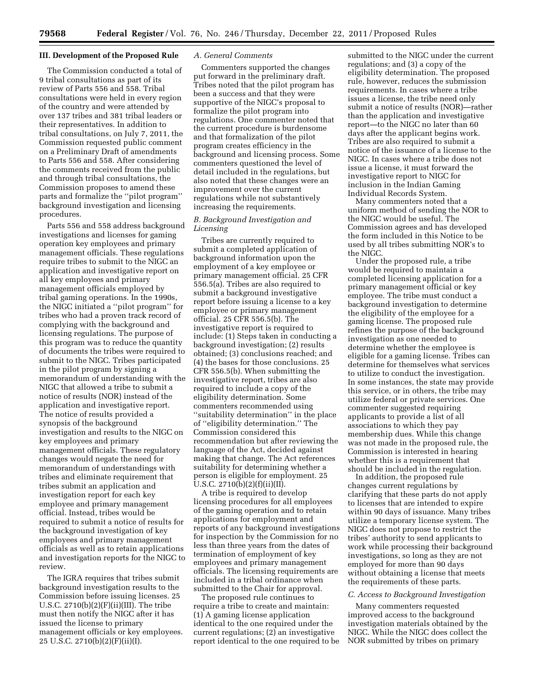# **III. Development of the Proposed Rule**

The Commission conducted a total of 9 tribal consultations as part of its review of Parts 556 and 558. Tribal consultations were held in every region of the country and were attended by over 137 tribes and 381 tribal leaders or their representatives. In addition to tribal consultations, on July 7, 2011, the Commission requested public comment on a Preliminary Draft of amendments to Parts 556 and 558. After considering the comments received from the public and through tribal consultations, the Commission proposes to amend these parts and formalize the ''pilot program'' background investigation and licensing procedures.

Parts 556 and 558 address background investigations and licenses for gaming operation key employees and primary management officials. These regulations require tribes to submit to the NIGC an application and investigative report on all key employees and primary management officials employed by tribal gaming operations. In the 1990s, the NIGC initiated a ''pilot program'' for tribes who had a proven track record of complying with the background and licensing regulations. The purpose of this program was to reduce the quantity of documents the tribes were required to submit to the NIGC. Tribes participated in the pilot program by signing a memorandum of understanding with the NIGC that allowed a tribe to submit a notice of results (NOR) instead of the application and investigative report. The notice of results provided a synopsis of the background investigation and results to the NIGC on key employees and primary management officials. These regulatory changes would negate the need for memorandum of understandings with tribes and eliminate requirement that tribes submit an application and investigation report for each key employee and primary management official. Instead, tribes would be required to submit a notice of results for the background investigation of key employees and primary management officials as well as to retain applications and investigation reports for the NIGC to review.

The IGRA requires that tribes submit background investigation results to the Commission before issuing licenses. 25 U.S.C.  $2710(b)(2)(F)(ii)(III)$ . The tribe must then notify the NIGC after it has issued the license to primary management officials or key employees. 25 U.S.C. 2710(b)(2)(F)(ii)(I).

## *A. General Comments*

Commenters supported the changes put forward in the preliminary draft. Tribes noted that the pilot program has been a success and that they were supportive of the NIGC's proposal to formalize the pilot program into regulations. One commenter noted that the current procedure is burdensome and that formalization of the pilot program creates efficiency in the background and licensing process. Some commenters questioned the level of detail included in the regulations, but also noted that these changes were an improvement over the current regulations while not substantively increasing the requirements.

# *B. Background Investigation and Licensing*

Tribes are currently required to submit a completed application of background information upon the employment of a key employee or primary management official. 25 CFR 556.5(a). Tribes are also required to submit a background investigative report before issuing a license to a key employee or primary management official. 25 CFR 556.5(b). The investigative report is required to include: (1) Steps taken in conducting a background investigation; (2) results obtained; (3) conclusions reached; and (4) the bases for those conclusions. 25 CFR 556.5(b). When submitting the investigative report, tribes are also required to include a copy of the eligibility determination. Some commenters recommended using ''suitability determination'' in the place of ''eligibility determination.'' The Commission considered this recommendation but after reviewing the language of the Act, decided against making that change. The Act references suitability for determining whether a person is eligible for employment. 25 U.S.C. 2710(b)(2)(f)(ii)(II).

A tribe is required to develop licensing procedures for all employees of the gaming operation and to retain applications for employment and reports of any background investigations for inspection by the Commission for no less than three years from the dates of termination of employment of key employees and primary management officials. The licensing requirements are included in a tribal ordinance when submitted to the Chair for approval.

The proposed rule continues to require a tribe to create and maintain: (1) A gaming license application identical to the one required under the current regulations;  $(2)$  an investigative report identical to the one required to be submitted to the NIGC under the current regulations; and (3) a copy of the eligibility determination. The proposed rule, however, reduces the submission requirements. In cases where a tribe issues a license, the tribe need only submit a notice of results (NOR)—rather than the application and investigative report—to the NIGC no later than 60 days after the applicant begins work. Tribes are also required to submit a notice of the issuance of a license to the NIGC. In cases where a tribe does not issue a license, it must forward the investigative report to NIGC for inclusion in the Indian Gaming Individual Records System.

Many commenters noted that a uniform method of sending the NOR to the NIGC would be useful. The Commission agrees and has developed the form included in this Notice to be used by all tribes submitting NOR's to the NIGC.

Under the proposed rule, a tribe would be required to maintain a completed licensing application for a primary management official or key employee. The tribe must conduct a background investigation to determine the eligibility of the employee for a gaming license. The proposed rule refines the purpose of the background investigation as one needed to determine whether the employee is eligible for a gaming license. Tribes can determine for themselves what services to utilize to conduct the investigation. In some instances, the state may provide this service, or in others, the tribe may utilize federal or private services. One commenter suggested requiring applicants to provide a list of all associations to which they pay membership dues. While this change was not made in the proposed rule, the Commission is interested in hearing whether this is a requirement that should be included in the regulation.

In addition, the proposed rule changes current regulations by clarifying that these parts do not apply to licenses that are intended to expire within 90 days of issuance. Many tribes utilize a temporary license system. The NIGC does not propose to restrict the tribes' authority to send applicants to work while processing their background investigations, so long as they are not employed for more than 90 days without obtaining a license that meets the requirements of these parts.

#### *C. Access to Background Investigation*

Many commenters requested improved access to the background investigation materials obtained by the NIGC. While the NIGC does collect the NOR submitted by tribes on primary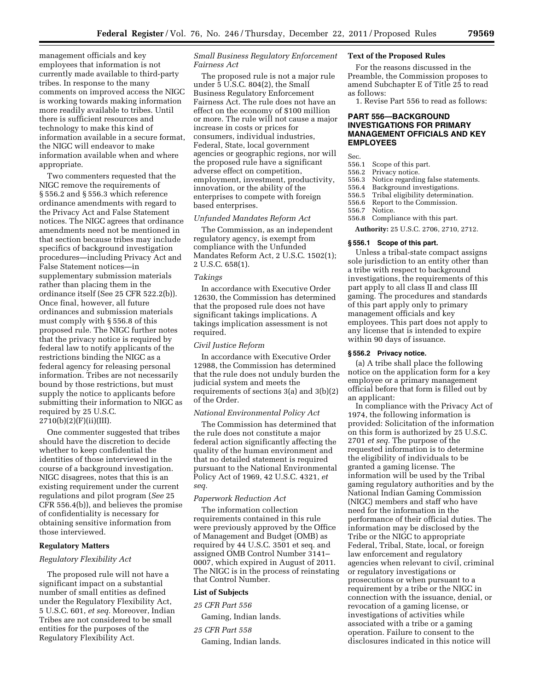management officials and key employees that information is not currently made available to third-party tribes. In response to the many comments on improved access the NIGC is working towards making information more readily available to tribes. Until there is sufficient resources and technology to make this kind of information available in a secure format, the NIGC will endeavor to make information available when and where appropriate.

Two commenters requested that the NIGC remove the requirements of § 556.2 and § 556.3 which reference ordinance amendments with regard to the Privacy Act and False Statement notices. The NIGC agrees that ordinance amendments need not be mentioned in that section because tribes may include specifics of background investigation procedures—including Privacy Act and False Statement notices—in supplementary submission materials rather than placing them in the ordinance itself (See 25 CFR 522.2(b)). Once final, however, all future ordinances and submission materials must comply with § 556.8 of this proposed rule. The NIGC further notes that the privacy notice is required by federal law to notify applicants of the restrictions binding the NIGC as a federal agency for releasing personal information. Tribes are not necessarily bound by those restrictions, but must supply the notice to applicants before submitting their information to NIGC as required by 25 U.S.C. 2710(b)(2)(F)(ii)(III).

One commenter suggested that tribes should have the discretion to decide whether to keep confidential the identities of those interviewed in the course of a background investigation. NIGC disagrees, notes that this is an existing requirement under the current regulations and pilot program (*See* 25 CFR 556.4(b)), and believes the promise of confidentiality is necessary for obtaining sensitive information from those interviewed.

## **Regulatory Matters**

## *Regulatory Flexibility Act*

The proposed rule will not have a significant impact on a substantial number of small entities as defined under the Regulatory Flexibility Act, 5 U.S.C. 601, *et seq.* Moreover, Indian Tribes are not considered to be small entities for the purposes of the Regulatory Flexibility Act.

*Small Business Regulatory Enforcement Fairness Act* 

The proposed rule is not a major rule under 5 U.S.C. 804(2), the Small Business Regulatory Enforcement Fairness Act. The rule does not have an effect on the economy of \$100 million or more. The rule will not cause a major increase in costs or prices for consumers, individual industries, Federal, State, local government agencies or geographic regions, nor will the proposed rule have a significant adverse effect on competition, employment, investment, productivity, innovation, or the ability of the enterprises to compete with foreign based enterprises.

## *Unfunded Mandates Reform Act*

The Commission, as an independent regulatory agency, is exempt from compliance with the Unfunded Mandates Reform Act, 2 U.S.C. 1502(1); 2 U.S.C. 658(1).

#### *Takings*

In accordance with Executive Order 12630, the Commission has determined that the proposed rule does not have significant takings implications. A takings implication assessment is not required.

## *Civil Justice Reform*

In accordance with Executive Order 12988, the Commission has determined that the rule does not unduly burden the judicial system and meets the requirements of sections 3(a) and 3(b)(2) of the Order.

### *National Environmental Policy Act*

The Commission has determined that the rule does not constitute a major federal action significantly affecting the quality of the human environment and that no detailed statement is required pursuant to the National Environmental Policy Act of 1969, 42 U.S.C. 4321, *et seq.* 

## *Paperwork Reduction Act*

The information collection requirements contained in this rule were previously approved by the Office of Management and Budget (OMB) as required by 44 U.S.C. 3501 et seq. and assigned OMB Control Number 3141– 0007, which expired in August of 2011. The NIGC is in the process of reinstating that Control Number.

## **List of Subjects**

*25 CFR Part 556* 

Gaming, Indian lands.

*25 CFR Part 558* 

Gaming, Indian lands.

## **Text of the Proposed Rules**

For the reasons discussed in the Preamble, the Commission proposes to amend Subchapter E of Title 25 to read as follows:

1. Revise Part 556 to read as follows:

# **PART 556—BACKGROUND INVESTIGATIONS FOR PRIMARY MANAGEMENT OFFICIALS AND KEY EMPLOYEES**

- Sec.<br>556.1 Scope of this part.
- 556.2 Privacy notice.
- 556.3 Notice regarding false statements.
- 556.4 Background investigations.<br>556.5 Tribal eligibility determina
- Tribal eligibility determination.
- 556.6 Report to the Commission.
- 556.7 Notice.
- Compliance with this part.
- **Authority:** 25 U.S.C. 2706, 2710, 2712.

## **§ 556.1 Scope of this part.**

Unless a tribal-state compact assigns sole jurisdiction to an entity other than a tribe with respect to background investigations, the requirements of this part apply to all class II and class III gaming. The procedures and standards of this part apply only to primary management officials and key employees. This part does not apply to any license that is intended to expire within 90 days of issuance.

## **§ 556.2 Privacy notice.**

(a) A tribe shall place the following notice on the application form for a key employee or a primary management official before that form is filled out by an applicant:

In compliance with the Privacy Act of 1974, the following information is provided: Solicitation of the information on this form is authorized by 25 U.S.C. 2701 *et seq.* The purpose of the requested information is to determine the eligibility of individuals to be granted a gaming license. The information will be used by the Tribal gaming regulatory authorities and by the National Indian Gaming Commission (NIGC) members and staff who have need for the information in the performance of their official duties. The information may be disclosed by the Tribe or the NIGC to appropriate Federal, Tribal, State, local, or foreign law enforcement and regulatory agencies when relevant to civil, criminal or regulatory investigations or prosecutions or when pursuant to a requirement by a tribe or the NIGC in connection with the issuance, denial, or revocation of a gaming license, or investigations of activities while associated with a tribe or a gaming operation. Failure to consent to the disclosures indicated in this notice will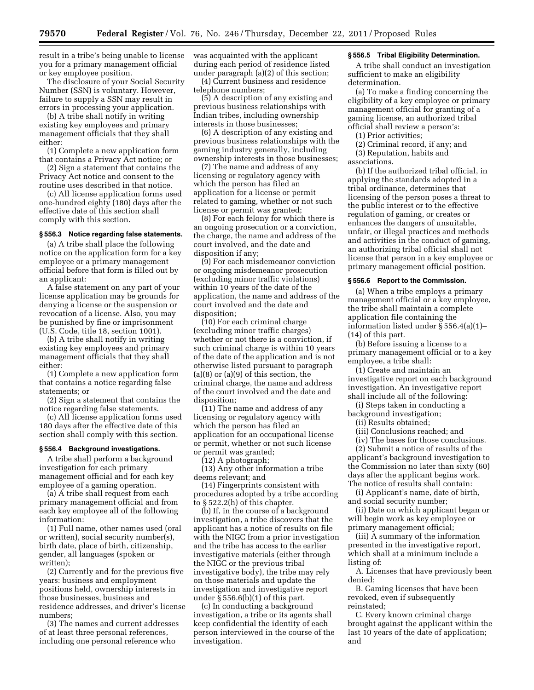result in a tribe's being unable to license you for a primary management official or key employee position.

The disclosure of your Social Security Number (SSN) is voluntary. However, failure to supply a SSN may result in errors in processing your application.

(b) A tribe shall notify in writing existing key employees and primary management officials that they shall either:

(1) Complete a new application form that contains a Privacy Act notice; or

(2) Sign a statement that contains the Privacy Act notice and consent to the routine uses described in that notice.

(c) All license application forms used one-hundred eighty (180) days after the effective date of this section shall comply with this section.

# **§ 556.3 Notice regarding false statements.**

(a) A tribe shall place the following notice on the application form for a key employee or a primary management official before that form is filled out by an applicant:

A false statement on any part of your license application may be grounds for denying a license or the suspension or revocation of a license. Also, you may be punished by fine or imprisonment (U.S. Code, title 18, section 1001).

(b) A tribe shall notify in writing existing key employees and primary management officials that they shall either:

(1) Complete a new application form that contains a notice regarding false statements; or

(2) Sign a statement that contains the notice regarding false statements.

(c) All license application forms used 180 days after the effective date of this section shall comply with this section.

### **§ 556.4 Background investigations.**

A tribe shall perform a background investigation for each primary management official and for each key employee of a gaming operation.

(a) A tribe shall request from each primary management official and from each key employee all of the following information:

(1) Full name, other names used (oral or written), social security number(s), birth date, place of birth, citizenship, gender, all languages (spoken or written);

(2) Currently and for the previous five years: business and employment positions held, ownership interests in those businesses, business and residence addresses, and driver's license numbers;

(3) The names and current addresses of at least three personal references, including one personal reference who

was acquainted with the applicant during each period of residence listed under paragraph (a)(2) of this section;

(4) Current business and residence telephone numbers;

(5) A description of any existing and previous business relationships with Indian tribes, including ownership interests in those businesses;

(6) A description of any existing and previous business relationships with the gaming industry generally, including ownership interests in those businesses;

(7) The name and address of any licensing or regulatory agency with which the person has filed an application for a license or permit related to gaming, whether or not such license or permit was granted;

(8) For each felony for which there is an ongoing prosecution or a conviction, the charge, the name and address of the court involved, and the date and disposition if any;

(9) For each misdemeanor conviction or ongoing misdemeanor prosecution (excluding minor traffic violations) within 10 years of the date of the application, the name and address of the court involved and the date and disposition;

(10) For each criminal charge (excluding minor traffic charges) whether or not there is a conviction, if such criminal charge is within 10 years of the date of the application and is not otherwise listed pursuant to paragraph (a)(8) or (a)(9) of this section, the criminal charge, the name and address of the court involved and the date and disposition;

(11) The name and address of any licensing or regulatory agency with which the person has filed an application for an occupational license or permit, whether or not such license or permit was granted;

(12) A photograph;

(13) Any other information a tribe deems relevant; and

(14) Fingerprints consistent with procedures adopted by a tribe according to § 522.2(h) of this chapter.

(b) If, in the course of a background investigation, a tribe discovers that the applicant has a notice of results on file with the NIGC from a prior investigation and the tribe has access to the earlier investigative materials (either through the NIGC or the previous tribal investigative body), the tribe may rely on those materials and update the investigation and investigative report under  $\S 556.6(b)(1)$  of this part.

(c) In conducting a background investigation, a tribe or its agents shall keep confidential the identity of each person interviewed in the course of the investigation.

## **§ 556.5 Tribal Eligibility Determination.**

A tribe shall conduct an investigation sufficient to make an eligibility determination.

(a) To make a finding concerning the eligibility of a key employee or primary management official for granting of a gaming license, an authorized tribal official shall review a person's:

(1) Prior activities;

(2) Criminal record, if any; and

(3) Reputation, habits and

associations.

(b) If the authorized tribal official, in applying the standards adopted in a tribal ordinance, determines that licensing of the person poses a threat to the public interest or to the effective regulation of gaming, or creates or enhances the dangers of unsuitable, unfair, or illegal practices and methods and activities in the conduct of gaming, an authorizing tribal official shall not license that person in a key employee or primary management official position.

## **§ 556.6 Report to the Commission.**

(a) When a tribe employs a primary management official or a key employee, the tribe shall maintain a complete application file containing the information listed under § 556.4(a)(1)– (14) of this part.

(b) Before issuing a license to a primary management official or to a key employee, a tribe shall:

(1) Create and maintain an investigative report on each background investigation. An investigative report shall include all of the following:

(i) Steps taken in conducting a background investigation;

(ii) Results obtained;

(iii) Conclusions reached; and

(iv) The bases for those conclusions.

(2) Submit a notice of results of the applicant's background investigation to the Commission no later than sixty (60) days after the applicant begins work. The notice of results shall contain:

(i) Applicant's name, date of birth, and social security number;

(ii) Date on which applicant began or will begin work as key employee or primary management official;

(iii) A summary of the information presented in the investigative report, which shall at a minimum include a listing of:

A. Licenses that have previously been denied;

B. Gaming licenses that have been revoked, even if subsequently reinstated;

C. Every known criminal charge brought against the applicant within the last 10 years of the date of application; and